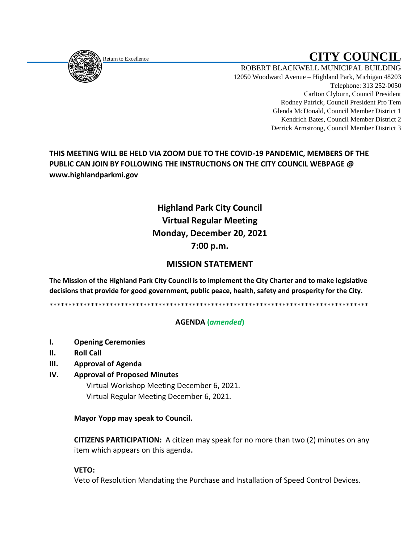<span id="page-0-0"></span>

Return to Excellence **CITY COUNCIL** 

ROBERT BLACKWELL MUNICIPAL BUILDING 12050 Woodward Avenue – Highland Park, Michigan 48203 Telephone: 313 252-0050 Carlton Clyburn, Council President Rodney Patrick, Council President Pro Tem Glenda McDonald, Council Member District 1 Kendrich Bates, Council Member District 2 Derrick Armstrong, Council Member District 3

**THIS MEETING WILL BE HELD VIA ZOOM DUE TO THE COVID-19 PANDEMIC, MEMBERS OF THE PUBLIC CAN JOIN BY FOLLOWING THE INSTRUCTIONS ON THE CITY COUNCIL WEBPAGE @ www.highlandparkmi.gov**

# **Highland Park City Council Virtual Regular Meeting Monday, December 20, 2021 7:00 p.m.**

# **MISSION STATEMENT**

**The Mission of the Highland Park City Council is to implement the City Charter and to make legislative decisions that provide for good government, public peace, health, safety and prosperity for the City.**

\*\*\*\*\*\*\*\*\*\*\*\*\*\*\*\*\*\*\*\*\*\*\*\*\*\*\*\*\*\*\*\*\*\*\*\*\*\*\*\*\*\*\*\*\*\*\*\*\*\*\*\*\*\*\*\*\*\*\*\*\*\*\*\*\*\*\*\*\*\*\*\*\*\*\*\*\*\*\*\*\*\*\*\*\*

## **AGENDA (***amended***)**

- **I. Opening Ceremonies**
- **II. Roll Call**
- **III. Approval of Agenda**

#### **IV. Approval of Proposed Minutes**

Virtual Workshop Meeting December 6, 2021. Virtual Regular Meeting December 6, 2021.

#### **Mayor Yopp may speak to Council.**

 **CITIZENS PARTICIPATION:** A citizen may speak for no more than two (2) minutes on any item which appears on this agenda**.**

#### **VETO:**

Veto of Resolution Mandating the Purchase and Installation of Speed Control Devices.